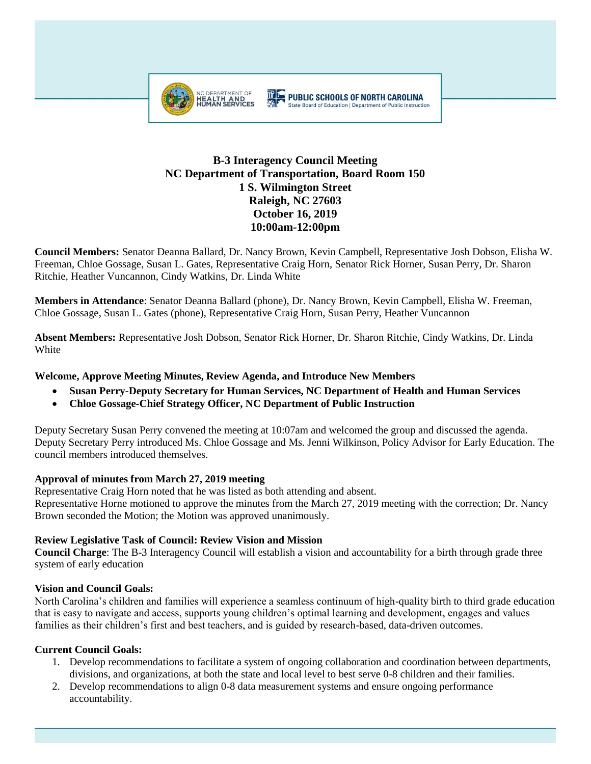

# **B-3 Interagency Council Meeting NC Department of Transportation, Board Room 150 1 S. Wilmington Street Raleigh, NC 27603 October 16, 2019 10:00am-12:00pm**

**Council Members:** Senator Deanna Ballard, Dr. Nancy Brown, Kevin Campbell, Representative Josh Dobson, Elisha W. Freeman, Chloe Gossage, Susan L. Gates, Representative Craig Horn, Senator Rick Horner, Susan Perry, Dr. Sharon Ritchie, Heather Vuncannon, Cindy Watkins, Dr. Linda White

**Members in Attendance**: Senator Deanna Ballard (phone), Dr. Nancy Brown, Kevin Campbell, Elisha W. Freeman, Chloe Gossage, Susan L. Gates (phone), Representative Craig Horn, Susan Perry, Heather Vuncannon

**Absent Members:** Representative Josh Dobson, Senator Rick Horner, Dr. Sharon Ritchie, Cindy Watkins, Dr. Linda White

## **Welcome, Approve Meeting Minutes, Review Agenda, and Introduce New Members**

- **Susan Perry-Deputy Secretary for Human Services, NC Department of Health and Human Services**
- **Chloe Gossage-Chief Strategy Officer, NC Department of Public Instruction**

Deputy Secretary Susan Perry convened the meeting at 10:07am and welcomed the group and discussed the agenda. Deputy Secretary Perry introduced Ms. Chloe Gossage and Ms. Jenni Wilkinson, Policy Advisor for Early Education. The council members introduced themselves.

#### **Approval of minutes from March 27, 2019 meeting**

Representative Craig Horn noted that he was listed as both attending and absent. Representative Horne motioned to approve the minutes from the March 27, 2019 meeting with the correction; Dr. Nancy Brown seconded the Motion; the Motion was approved unanimously.

#### **Review Legislative Task of Council: Review Vision and Mission**

**Council Charge**: The B-3 Interagency Council will establish a vision and accountability for a birth through grade three system of early education

## **Vision and Council Goals:**

North Carolina's children and families will experience a seamless continuum of high-quality birth to third grade education that is easy to navigate and access, supports young children's optimal learning and development, engages and values families as their children's first and best teachers, and is guided by research-based, data-driven outcomes.

## **Current Council Goals:**

- 1. Develop recommendations to facilitate a system of ongoing collaboration and coordination between departments, divisions, and organizations, at both the state and local level to best serve 0-8 children and their families.
- 2. Develop recommendations to align 0-8 data measurement systems and ensure ongoing performance accountability.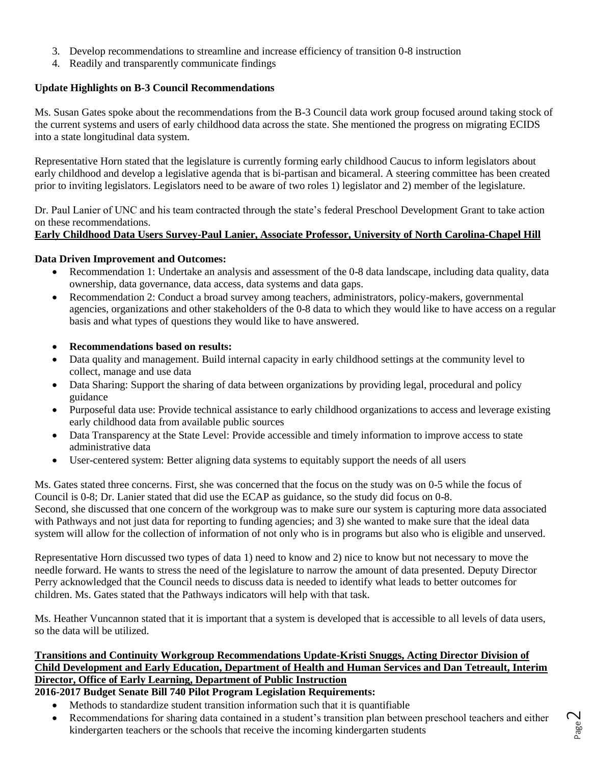- 3. Develop recommendations to streamline and increase efficiency of transition 0-8 instruction
- 4. Readily and transparently communicate findings

## **Update Highlights on B-3 Council Recommendations**

Ms. Susan Gates spoke about the recommendations from the B-3 Council data work group focused around taking stock of the current systems and users of early childhood data across the state. She mentioned the progress on migrating ECIDS into a state longitudinal data system.

Representative Horn stated that the legislature is currently forming early childhood Caucus to inform legislators about early childhood and develop a legislative agenda that is bi-partisan and bicameral. A steering committee has been created prior to inviting legislators. Legislators need to be aware of two roles 1) legislator and 2) member of the legislature.

Dr. Paul Lanier of UNC and his team contracted through the state's federal Preschool Development Grant to take action on these recommendations.

## **Early Childhood Data Users Survey-Paul Lanier, Associate Professor, University of North Carolina-Chapel Hill**

## **Data Driven Improvement and Outcomes:**

- Recommendation 1: Undertake an analysis and assessment of the 0-8 data landscape, including data quality, data ownership, data governance, data access, data systems and data gaps.
- Recommendation 2: Conduct a broad survey among teachers, administrators, policy-makers, governmental agencies, organizations and other stakeholders of the 0-8 data to which they would like to have access on a regular basis and what types of questions they would like to have answered.
- **Recommendations based on results:**
- Data quality and management. Build internal capacity in early childhood settings at the community level to collect, manage and use data
- Data Sharing: Support the sharing of data between organizations by providing legal, procedural and policy guidance
- Purposeful data use: Provide technical assistance to early childhood organizations to access and leverage existing early childhood data from available public sources
- Data Transparency at the State Level: Provide accessible and timely information to improve access to state administrative data
- User-centered system: Better aligning data systems to equitably support the needs of all users

Ms. Gates stated three concerns. First, she was concerned that the focus on the study was on 0-5 while the focus of Council is 0-8; Dr. Lanier stated that did use the ECAP as guidance, so the study did focus on 0-8. Second, she discussed that one concern of the workgroup was to make sure our system is capturing more data associated with Pathways and not just data for reporting to funding agencies; and 3) she wanted to make sure that the ideal data system will allow for the collection of information of not only who is in programs but also who is eligible and unserved.

Representative Horn discussed two types of data 1) need to know and 2) nice to know but not necessary to move the needle forward. He wants to stress the need of the legislature to narrow the amount of data presented. Deputy Director Perry acknowledged that the Council needs to discuss data is needed to identify what leads to better outcomes for children. Ms. Gates stated that the Pathways indicators will help with that task.

Ms. Heather Vuncannon stated that it is important that a system is developed that is accessible to all levels of data users, so the data will be utilized.

## **Transitions and Continuity Workgroup Recommendations Update-Kristi Snuggs, Acting Director Division of Child Development and Early Education, Department of Health and Human Services and Dan Tetreault, Interim Director, Office of Early Learning, Department of Public Instruction**

# **2016-2017 Budget Senate Bill 740 Pilot Program Legislation Requirements:**

- Methods to standardize student transition information such that it is quantifiable
- Recommendations for sharing data contained in a student's transition plan between preschool teachers and either kindergarten teachers or the schools that receive the incoming kindergarten students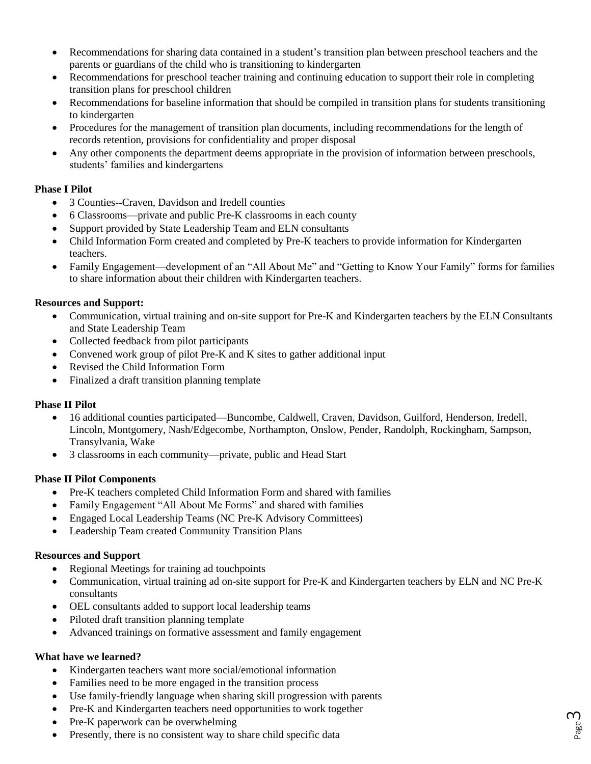- Recommendations for sharing data contained in a student's transition plan between preschool teachers and the parents or guardians of the child who is transitioning to kindergarten
- Recommendations for preschool teacher training and continuing education to support their role in completing transition plans for preschool children
- Recommendations for baseline information that should be compiled in transition plans for students transitioning to kindergarten
- Procedures for the management of transition plan documents, including recommendations for the length of records retention, provisions for confidentiality and proper disposal
- Any other components the department deems appropriate in the provision of information between preschools, students' families and kindergartens

#### **Phase I Pilot**

- 3 Counties--Craven, Davidson and Iredell counties
- 6 Classrooms—private and public Pre-K classrooms in each county
- Support provided by State Leadership Team and ELN consultants
- Child Information Form created and completed by Pre-K teachers to provide information for Kindergarten teachers.
- Family Engagement—development of an "All About Me" and "Getting to Know Your Family" forms for families to share information about their children with Kindergarten teachers.

#### **Resources and Support:**

- Communication, virtual training and on-site support for Pre-K and Kindergarten teachers by the ELN Consultants and State Leadership Team
- Collected feedback from pilot participants
- Convened work group of pilot Pre-K and K sites to gather additional input
- Revised the Child Information Form
- Finalized a draft transition planning template

#### **Phase II Pilot**

- 16 additional counties participated—Buncombe, Caldwell, Craven, Davidson, Guilford, Henderson, Iredell, Lincoln, Montgomery, Nash/Edgecombe, Northampton, Onslow, Pender, Randolph, Rockingham, Sampson, Transylvania, Wake
- 3 classrooms in each community—private, public and Head Start

#### **Phase II Pilot Components**

- Pre-K teachers completed Child Information Form and shared with families
- Family Engagement "All About Me Forms" and shared with families
- Engaged Local Leadership Teams (NC Pre-K Advisory Committees)
- Leadership Team created Community Transition Plans

#### **Resources and Support**

- Regional Meetings for training ad touchpoints
- Communication, virtual training ad on-site support for Pre-K and Kindergarten teachers by ELN and NC Pre-K consultants
- OEL consultants added to support local leadership teams
- Piloted draft transition planning template
- Advanced trainings on formative assessment and family engagement

#### **What have we learned?**

- Kindergarten teachers want more social/emotional information
- Families need to be more engaged in the transition process
- Use family-friendly language when sharing skill progression with parents
- Pre-K and Kindergarten teachers need opportunities to work together
- Pre-K paperwork can be overwhelming
- Presently, there is no consistent way to share child specific data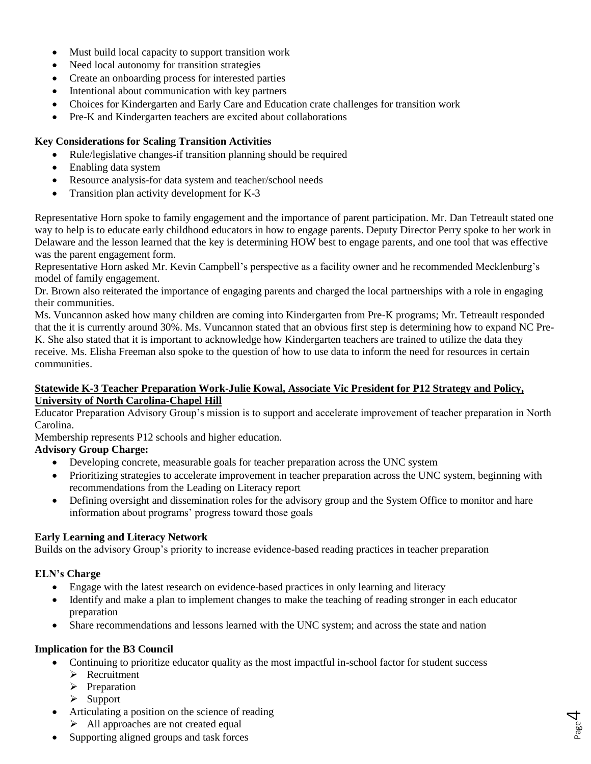- Must build local capacity to support transition work
- Need local autonomy for transition strategies
- Create an onboarding process for interested parties
- Intentional about communication with key partners
- Choices for Kindergarten and Early Care and Education crate challenges for transition work
- Pre-K and Kindergarten teachers are excited about collaborations

## **Key Considerations for Scaling Transition Activities**

- Rule/legislative changes-if transition planning should be required
- Enabling data system
- Resource analysis-for data system and teacher/school needs
- Transition plan activity development for K-3

Representative Horn spoke to family engagement and the importance of parent participation. Mr. Dan Tetreault stated one way to help is to educate early childhood educators in how to engage parents. Deputy Director Perry spoke to her work in Delaware and the lesson learned that the key is determining HOW best to engage parents, and one tool that was effective was the parent engagement form.

Representative Horn asked Mr. Kevin Campbell's perspective as a facility owner and he recommended Mecklenburg's model of family engagement.

Dr. Brown also reiterated the importance of engaging parents and charged the local partnerships with a role in engaging their communities.

Ms. Vuncannon asked how many children are coming into Kindergarten from Pre-K programs; Mr. Tetreault responded that the it is currently around 30%. Ms. Vuncannon stated that an obvious first step is determining how to expand NC Pre-K. She also stated that it is important to acknowledge how Kindergarten teachers are trained to utilize the data they receive. Ms. Elisha Freeman also spoke to the question of how to use data to inform the need for resources in certain communities.

#### **Statewide K-3 Teacher Preparation Work-Julie Kowal, Associate Vic President for P12 Strategy and Policy, University of North Carolina-Chapel Hill**

Educator Preparation Advisory Group's mission is to support and accelerate improvement of teacher preparation in North Carolina.

Membership represents P12 schools and higher education.

## **Advisory Group Charge:**

- Developing concrete, measurable goals for teacher preparation across the UNC system
- Prioritizing strategies to accelerate improvement in teacher preparation across the UNC system, beginning with recommendations from the Leading on Literacy report
- Defining oversight and dissemination roles for the advisory group and the System Office to monitor and hare information about programs' progress toward those goals

## **Early Learning and Literacy Network**

Builds on the advisory Group's priority to increase evidence-based reading practices in teacher preparation

## **ELN's Charge**

- Engage with the latest research on evidence-based practices in only learning and literacy
- Identify and make a plan to implement changes to make the teaching of reading stronger in each educator preparation

Page 4

• Share recommendations and lessons learned with the UNC system; and across the state and nation

## **Implication for the B3 Council**

- Continuing to prioritize educator quality as the most impactful in-school factor for student success
	- ➢ Recruitment
	- ➢ Preparation
	- ➢ Support
- Articulating a position on the science of reading
	- ➢ All approaches are not created equal
- Supporting aligned groups and task forces